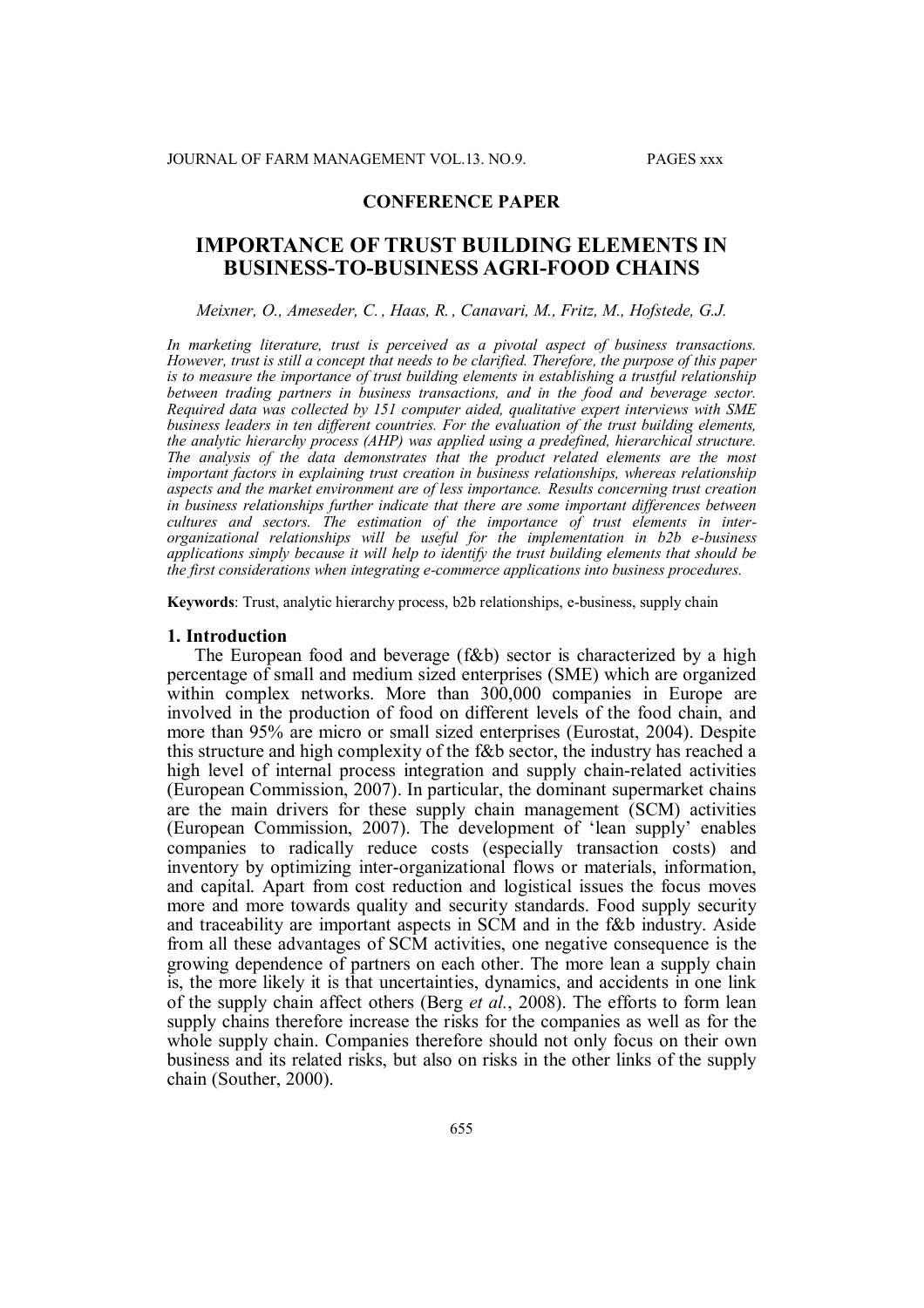# **CONFERENCE PAPER**

# **IMPORTANCE OF TRUST BUILDING ELEMENTS IN BUSINESS-TO-BUSINESS AGRI-FOOD CHAINS**

*Meixner, O., Ameseder, C. , Haas, R. , Canavari, M., Fritz, M., Hofstede, G.J.*

*In marketing literature, trust is perceived as a pivotal aspect of business transactions. However, trust is still a concept that needs to be clarified. Therefore, the purpose of this paper is to measure the importance of trust building elements in establishing a trustful relationship between trading partners in business transactions, and in the food and beverage sector. Required data was collected by 151 computer aided, qualitative expert interviews with SME business leaders in ten different countries. For the evaluation of the trust building elements, the analytic hierarchy process (AHP) was applied using a predefined, hierarchical structure. The analysis of the data demonstrates that the product related elements are the most important factors in explaining trust creation in business relationships, whereas relationship aspects and the market environment are of less importance. Results concerning trust creation in business relationships further indicate that there are some important differences between cultures and sectors. The estimation of the importance of trust elements in interorganizational relationships will be useful for the implementation in b2b e-business applications simply because it will help to identify the trust building elements that should be the first considerations when integrating e-commerce applications into business procedures.*

**Keywords**: Trust, analytic hierarchy process, b2b relationships, e-business, supply chain

#### **1. Introduction**

The European food and beverage (f&b) sector is characterized by a high percentage of small and medium sized enterprises (SME) which are organized within complex networks. More than 300,000 companies in Europe are involved in the production of food on different levels of the food chain, and more than 95% are micro or small sized enterprises (Eurostat, 2004). Despite this structure and high complexity of the f&b sector, the industry has reached a high level of internal process integration and supply chain-related activities (European Commission, 2007). In particular, the dominant supermarket chains are the main drivers for these supply chain management (SCM) activities (European Commission, 2007). The development of 'lean supply' enables companies to radically reduce costs (especially transaction costs) and inventory by optimizing inter-organizational flows or materials, information, and capital. Apart from cost reduction and logistical issues the focus moves more and more towards quality and security standards. Food supply security and traceability are important aspects in SCM and in the f&b industry. Aside from all these advantages of SCM activities, one negative consequence is the growing dependence of partners on each other. The more lean a supply chain is, the more likely it is that uncertainties, dynamics, and accidents in one link of the supply chain affect others (Berg *et al.*, 2008). The efforts to form lean supply chains therefore increase the risks for the companies as well as for the whole supply chain. Companies therefore should not only focus on their own business and its related risks, but also on risks in the other links of the supply chain (Souther, 2000).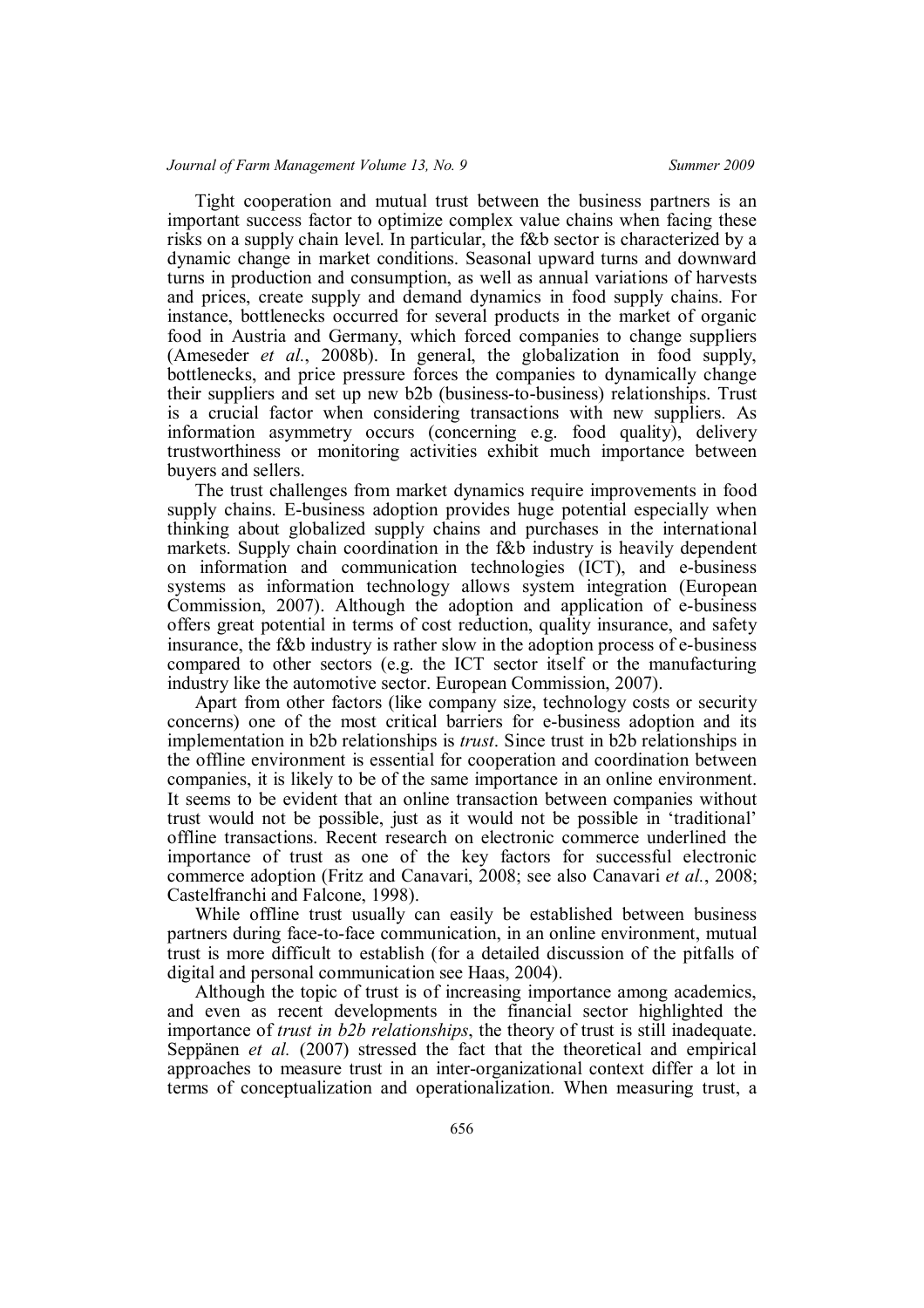Tight cooperation and mutual trust between the business partners is an important success factor to optimize complex value chains when facing these risks on a supply chain level. In particular, the f&b sector is characterized by a dynamic change in market conditions. Seasonal upward turns and downward turns in production and consumption, as well as annual variations of harvests and prices, create supply and demand dynamics in food supply chains. For instance, bottlenecks occurred for several products in the market of organic food in Austria and Germany, which forced companies to change suppliers (Ameseder *et al.*, 2008b). In general, the globalization in food supply, bottlenecks, and price pressure forces the companies to dynamically change their suppliers and set up new b2b (business-to-business) relationships. Trust is a crucial factor when considering transactions with new suppliers. As information asymmetry occurs (concerning e.g. food quality), delivery trustworthiness or monitoring activities exhibit much importance between buyers and sellers.

The trust challenges from market dynamics require improvements in food supply chains. E-business adoption provides huge potential especially when thinking about globalized supply chains and purchases in the international markets. Supply chain coordination in the f&b industry is heavily dependent on information and communication technologies (ICT), and e-business systems as information technology allows system integration (European Commission, 2007). Although the adoption and application of e-business offers great potential in terms of cost reduction, quality insurance, and safety insurance, the f&b industry is rather slow in the adoption process of e-business compared to other sectors (e.g. the ICT sector itself or the manufacturing industry like the automotive sector. European Commission, 2007).

Apart from other factors (like company size, technology costs or security concerns) one of the most critical barriers for e-business adoption and its implementation in b2b relationships is *trust*. Since trust in b2b relationships in the offline environment is essential for cooperation and coordination between companies, it is likely to be of the same importance in an online environment. It seems to be evident that an online transaction between companies without trust would not be possible, just as it would not be possible in 'traditional' offline transactions. Recent research on electronic commerce underlined the importance of trust as one of the key factors for successful electronic commerce adoption (Fritz and Canavari, 2008; see also Canavari *et al.*, 2008; Castelfranchi and Falcone, 1998).

While offline trust usually can easily be established between business partners during face-to-face communication, in an online environment, mutual trust is more difficult to establish (for a detailed discussion of the pitfalls of digital and personal communication see Haas, 2004).

Although the topic of trust is of increasing importance among academics, and even as recent developments in the financial sector highlighted the importance of *trust in b2b relationships*, the theory of trust is still inadequate. Seppänen *et al.* (2007) stressed the fact that the theoretical and empirical approaches to measure trust in an inter-organizational context differ a lot in terms of conceptualization and operationalization. When measuring trust, a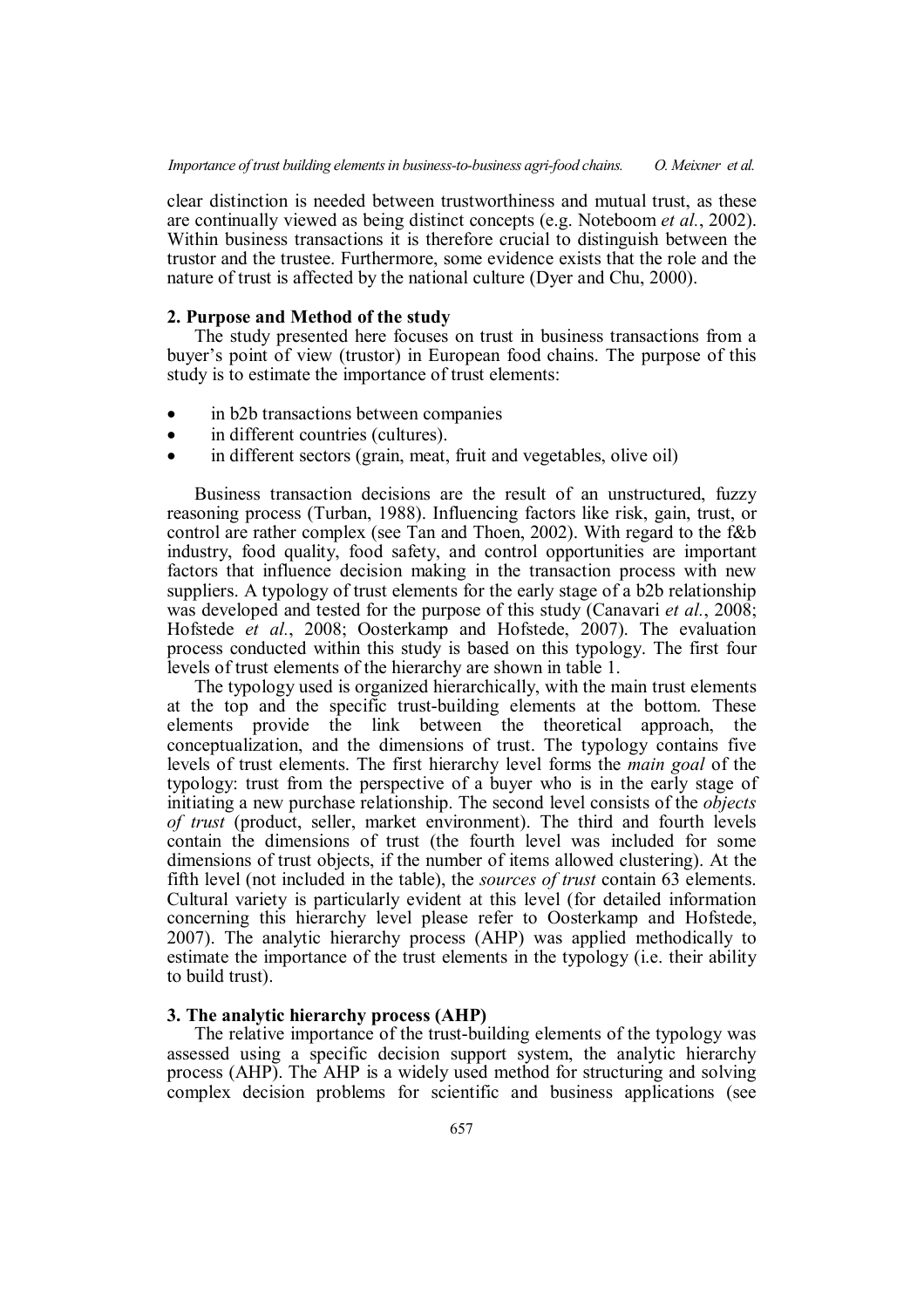clear distinction is needed between trustworthiness and mutual trust, as these are continually viewed as being distinct concepts (e.g. Noteboom *et al.*, 2002). Within business transactions it is therefore crucial to distinguish between the trustor and the trustee. Furthermore, some evidence exists that the role and the nature of trust is affected by the national culture (Dyer and Chu, 2000).

### **2. Purpose and Method of the study**

The study presented here focuses on trust in business transactions from a buyer's point of view (trustor) in European food chains. The purpose of this study is to estimate the importance of trust elements:

- in b2b transactions between companies
- in different countries (cultures).
- in different sectors (grain, meat, fruit and vegetables, olive oil)

Business transaction decisions are the result of an unstructured, fuzzy reasoning process (Turban, 1988). Influencing factors like risk, gain, trust, or control are rather complex (see Tan and Thoen, 2002). With regard to the f&b industry, food quality, food safety, and control opportunities are important factors that influence decision making in the transaction process with new suppliers. A typology of trust elements for the early stage of a b2b relationship was developed and tested for the purpose of this study (Canavari *et al.*, 2008; Hofstede *et al.*, 2008; Oosterkamp and Hofstede, 2007). The evaluation process conducted within this study is based on this typology. The first four levels of trust elements of the hierarchy are shown in table 1.

The typology used is organized hierarchically, with the main trust elements at the top and the specific trust-building elements at the bottom. These elements provide the link between the theoretical approach, the conceptualization, and the dimensions of trust. The typology contains five levels of trust elements. The first hierarchy level forms the *main goal* of the typology: trust from the perspective of a buyer who is in the early stage of initiating a new purchase relationship. The second level consists of the *objects of trust* (product, seller, market environment). The third and fourth levels contain the dimensions of trust (the fourth level was included for some dimensions of trust objects, if the number of items allowed clustering). At the fifth level (not included in the table), the *sources of trust* contain 63 elements. Cultural variety is particularly evident at this level (for detailed information concerning this hierarchy level please refer to Oosterkamp and Hofstede, 2007). The analytic hierarchy process (AHP) was applied methodically to estimate the importance of the trust elements in the typology (i.e. their ability to build trust).

# **3. The analytic hierarchy process (AHP)**

The relative importance of the trust-building elements of the typology was assessed using a specific decision support system, the analytic hierarchy process (AHP). The AHP is a widely used method for structuring and solving complex decision problems for scientific and business applications (see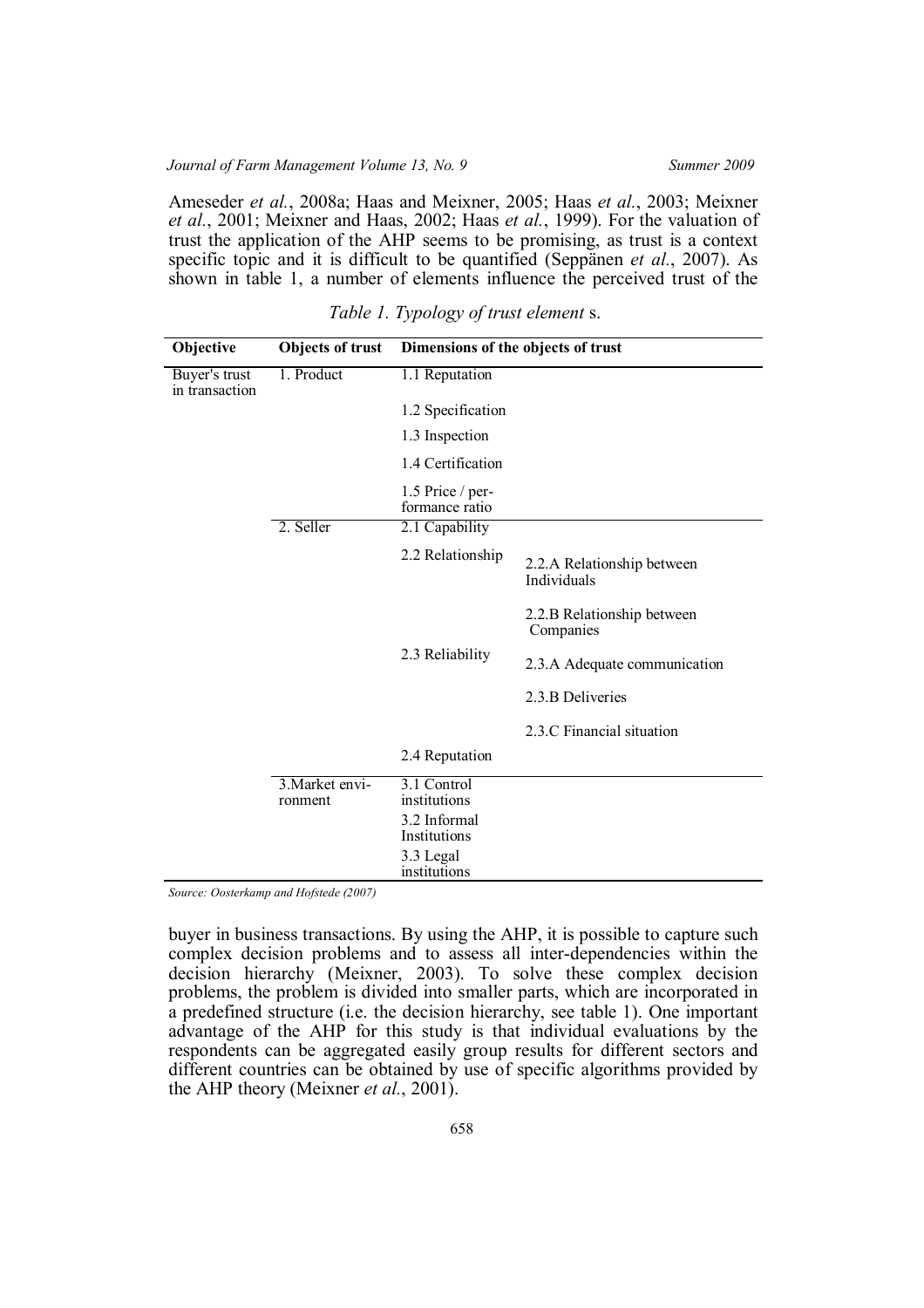Ameseder *et al.*, 2008a; Haas and Meixner, 2005; Haas *et al.*, 2003; Meixner *et al.*, 2001; Meixner and Haas, 2002; Haas *et al.*, 1999). For the valuation of trust the application of the AHP seems to be promising, as trust is a context specific topic and it is difficult to be quantified (Seppänen *et al.*, 2007). As shown in table 1, a number of elements influence the perceived trust of the

| Objective                       | <b>Objects of trust</b>    | Dimensions of the objects of trust |                                           |  |  |
|---------------------------------|----------------------------|------------------------------------|-------------------------------------------|--|--|
| Buyer's trust<br>in transaction | 1. Product                 | 1.1 Reputation                     |                                           |  |  |
|                                 |                            | 1.2 Specification                  |                                           |  |  |
|                                 |                            | 1.3 Inspection                     |                                           |  |  |
|                                 |                            | 1.4 Certification                  |                                           |  |  |
|                                 |                            | 1.5 Price / per-<br>formance ratio |                                           |  |  |
|                                 | 2. Seller                  | 2.1 Capability                     |                                           |  |  |
|                                 |                            | 2.2 Relationship                   | 2.2.A Relationship between<br>Individuals |  |  |
|                                 |                            |                                    | 2.2.B Relationship between<br>Companies   |  |  |
|                                 |                            | 2.3 Reliability                    | 2.3.A Adequate communication              |  |  |
|                                 |                            |                                    | 2.3.B Deliveries                          |  |  |
|                                 |                            |                                    | 2.3.C Financial situation                 |  |  |
|                                 |                            | 2.4 Reputation                     |                                           |  |  |
|                                 | 3. Market envi-<br>ronment | 3.1 Control<br>institutions        |                                           |  |  |
|                                 |                            | 3.2 Informal<br>Institutions       |                                           |  |  |
|                                 |                            | 3.3 Legal<br>institutions          |                                           |  |  |

*Table 1. Typology of trust element* s.

*Source: Oosterkamp and Hofstede (2007)*

buyer in business transactions. By using the AHP, it is possible to capture such complex decision problems and to assess all inter-dependencies within the decision hierarchy (Meixner, 2003). To solve these complex decision problems, the problem is divided into smaller parts, which are incorporated in a predefined structure (i.e. the decision hierarchy, see table 1). One important advantage of the AHP for this study is that individual evaluations by the respondents can be aggregated easily group results for different sectors and different countries can be obtained by use of specific algorithms provided by the AHP theory (Meixner *et al.*, 2001).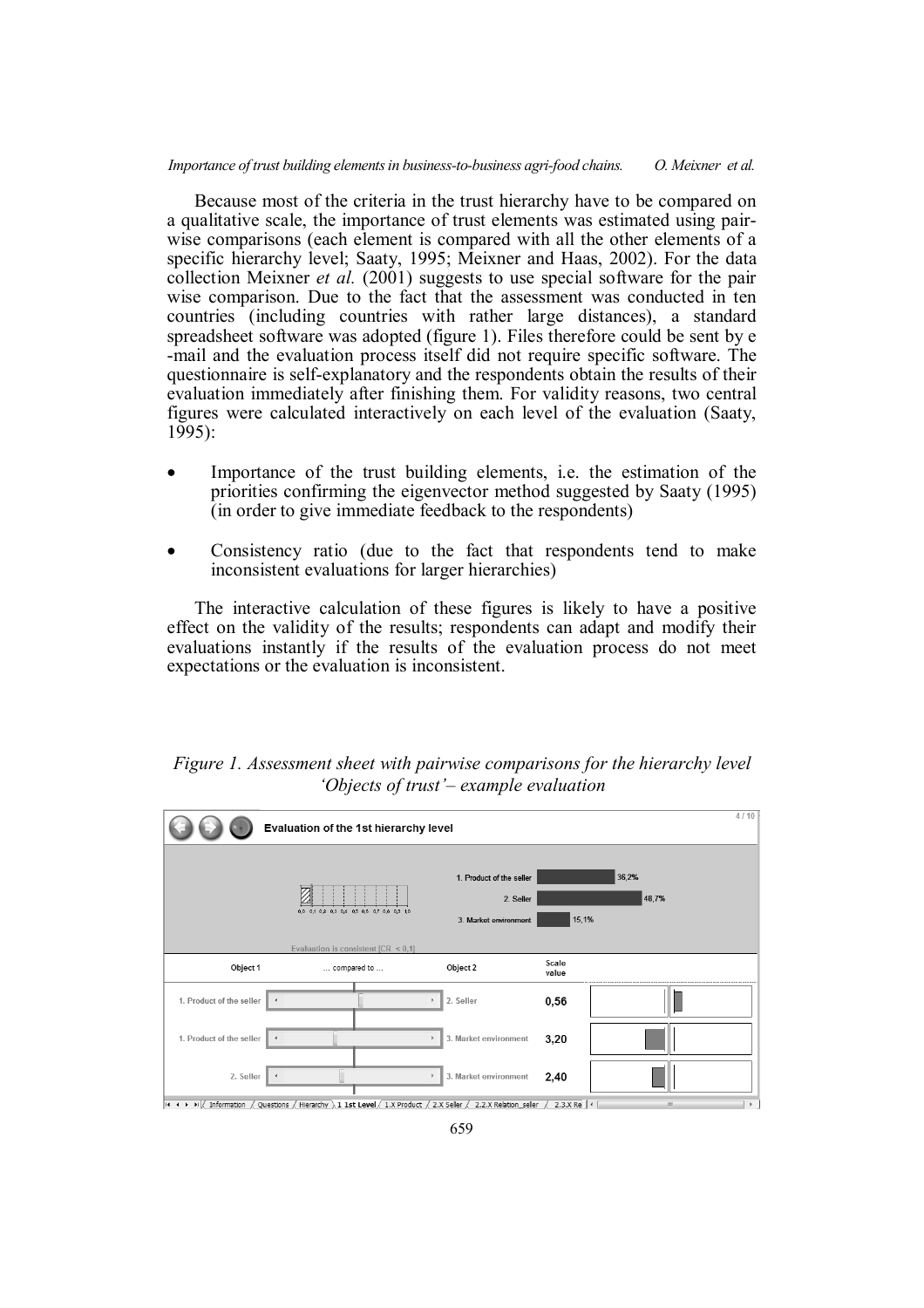### *Importance of trust building elements in business-to-business agri-food chains. O. Meixner et al.*

Because most of the criteria in the trust hierarchy have to be compared on a qualitative scale, the importance of trust elements was estimated using pairwise comparisons (each element is compared with all the other elements of a specific hierarchy level; Saaty, 1995; Meixner and Haas, 2002). For the data collection Meixner *et al.* (2001) suggests to use special software for the pair wise comparison. Due to the fact that the assessment was conducted in ten countries (including countries with rather large distances), a standard spreadsheet software was adopted (figure 1). Files therefore could be sent by e -mail and the evaluation process itself did not require specific software. The questionnaire is self-explanatory and the respondents obtain the results of their evaluation immediately after finishing them. For validity reasons, two central figures were calculated interactively on each level of the evaluation (Saaty,  $1995$ :

- Importance of the trust building elements, i.e. the estimation of the priorities confirming the eigenvector method suggested by Saaty (1995) (in order to give immediate feedback to the respondents)
- Consistency ratio (due to the fact that respondents tend to make inconsistent evaluations for larger hierarchies)

The interactive calculation of these figures is likely to have a positive effect on the validity of the results; respondents can adapt and modify their evaluations instantly if the results of the evaluation process do not meet expectations or the evaluation is inconsistent.



|                          | Evaluation of the 1st hierarchy level                   |                                                                |                |                |  |  |
|--------------------------|---------------------------------------------------------|----------------------------------------------------------------|----------------|----------------|--|--|
|                          | 0.0 0.1 0.2 0.3 0.4 0.5 0.6 0.7 0.8 0.9 1.0             | 1. Product of the seller<br>2. Seller<br>3. Market environment | 15,1%          | 36,2%<br>48,7% |  |  |
| Object 1                 | Evaluation is consistent [CR $\leq$ 0,1]<br>compared to | Object 2                                                       | Scale<br>value |                |  |  |
| 1. Product of the seller | $\blacktriangleleft$                                    | 2. Seller                                                      | 0,56           |                |  |  |
| 1. Product of the seller | $\overline{\mathcal{A}}$                                | 3. Market environment                                          | 3,20           |                |  |  |
| 2. Seller                | $\rightarrow$                                           | 3. Market environment                                          | 2,40           |                |  |  |

659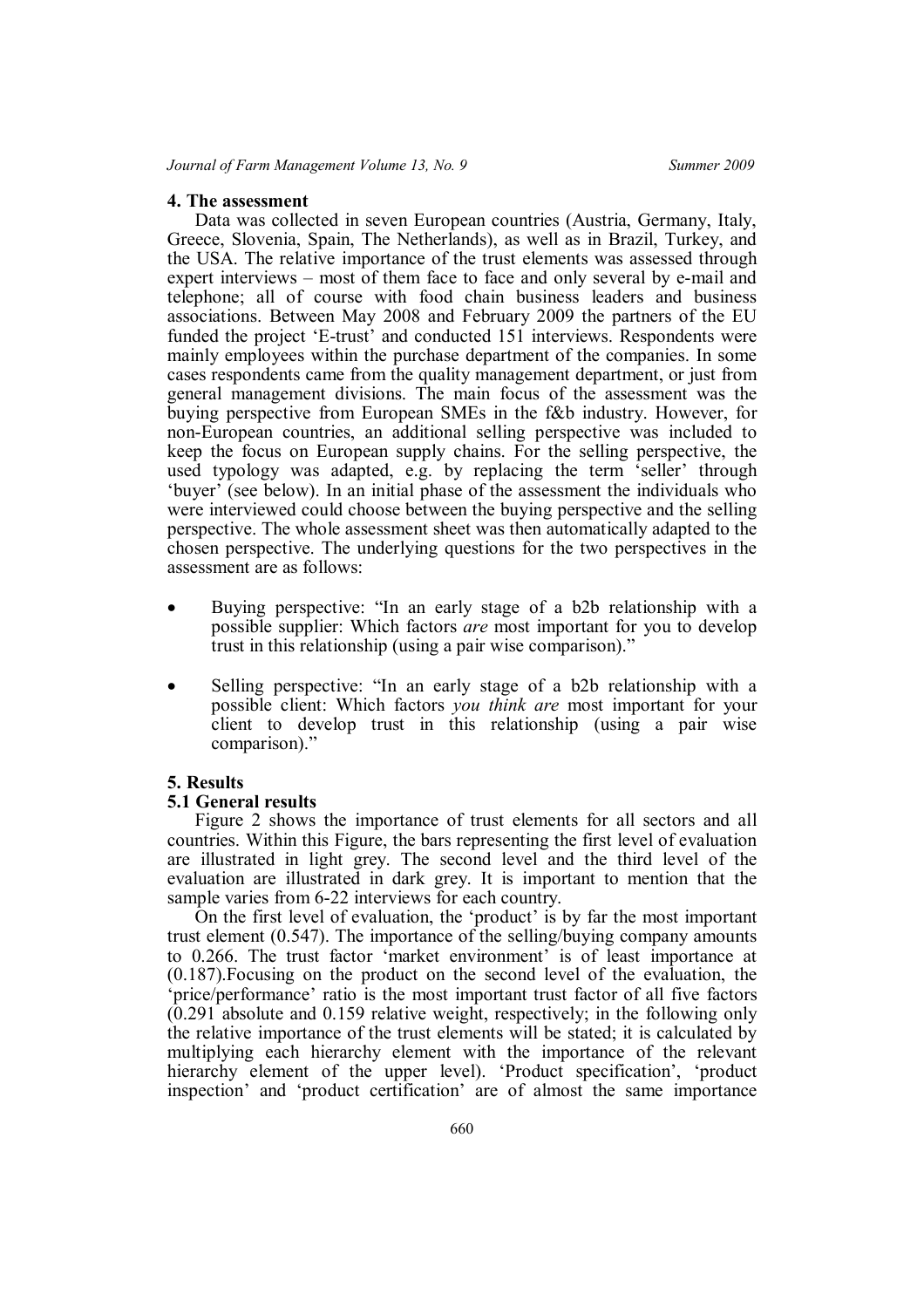### **4. The assessment**

Data was collected in seven European countries (Austria, Germany, Italy, Greece, Slovenia, Spain, The Netherlands), as well as in Brazil, Turkey, and the USA. The relative importance of the trust elements was assessed through expert interviews – most of them face to face and only several by e-mail and telephone; all of course with food chain business leaders and business associations. Between May 2008 and February 2009 the partners of the EU funded the project 'E-trust' and conducted 151 interviews. Respondents were mainly employees within the purchase department of the companies. In some cases respondents came from the quality management department, or just from general management divisions. The main focus of the assessment was the buying perspective from European SMEs in the f&b industry. However, for non-European countries, an additional selling perspective was included to keep the focus on European supply chains. For the selling perspective, the used typology was adapted, e.g. by replacing the term 'seller' through 'buyer' (see below). In an initial phase of the assessment the individuals who were interviewed could choose between the buying perspective and the selling perspective. The whole assessment sheet was then automatically adapted to the chosen perspective. The underlying questions for the two perspectives in the assessment are as follows:

- Buying perspective: "In an early stage of a b2b relationship with a possible supplier: Which factors *are* most important for you to develop trust in this relationship (using a pair wise comparison)."
- Selling perspective: "In an early stage of a b2b relationship with a possible client: Which factors *you think are* most important for your client to develop trust in this relationship (using a pair wise comparison)."

## **5. Results**

#### **5.1 General results**

Figure 2 shows the importance of trust elements for all sectors and all countries. Within this Figure, the bars representing the first level of evaluation are illustrated in light grey. The second level and the third level of the evaluation are illustrated in dark grey. It is important to mention that the sample varies from 6-22 interviews for each country.

On the first level of evaluation, the 'product' is by far the most important trust element (0.547). The importance of the selling/buying company amounts to 0.266. The trust factor 'market environment' is of least importance at (0.187).Focusing on the product on the second level of the evaluation, the 'price/performance' ratio is the most important trust factor of all five factors  $(0.291)$  absolute and 0.159 relative weight, respectively; in the following only the relative importance of the trust elements will be stated; it is calculated by multiplying each hierarchy element with the importance of the relevant hierarchy element of the upper level). 'Product specification', 'product inspection' and 'product certification' are of almost the same importance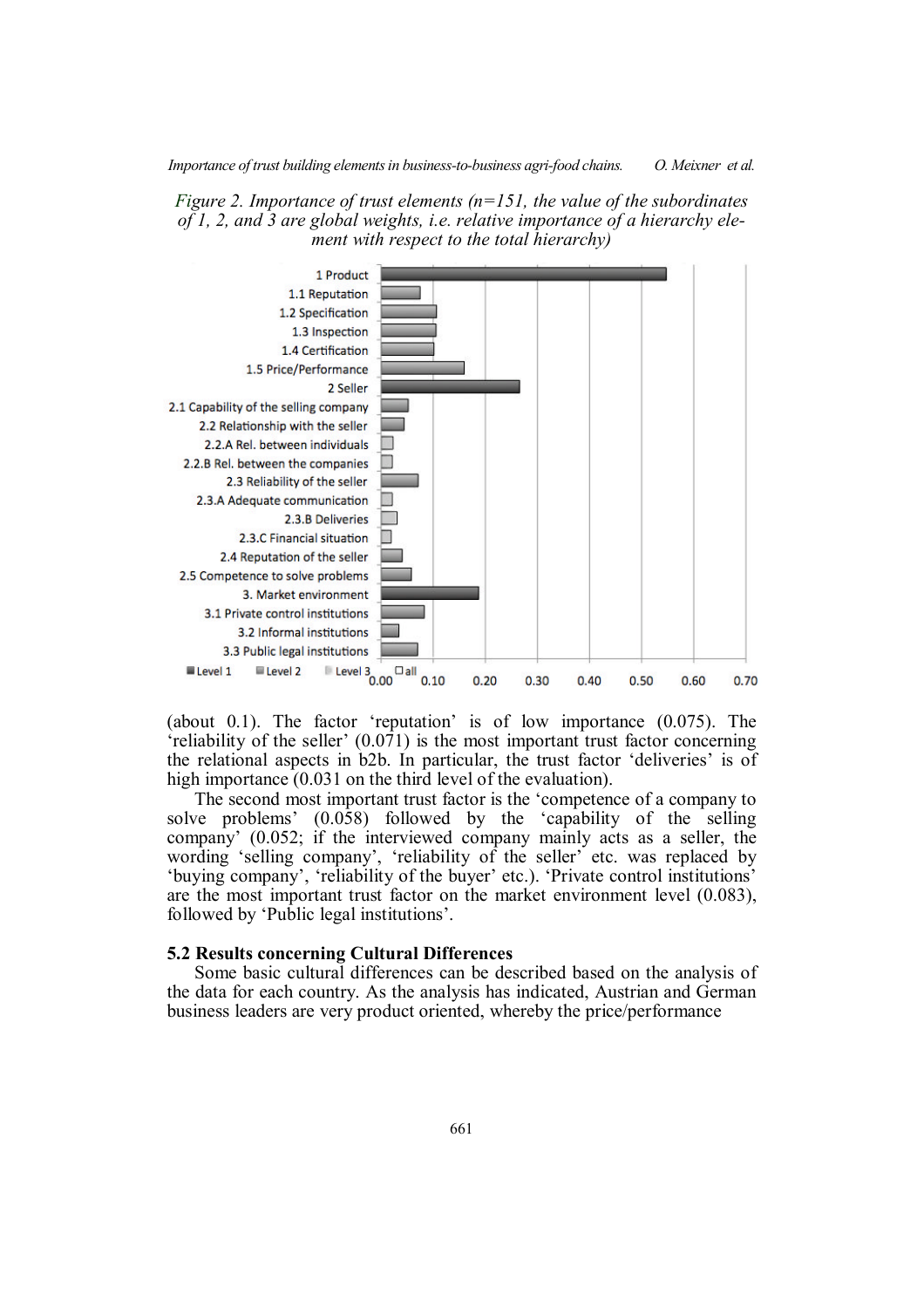



(about 0.1). The factor 'reputation' is of low importance (0.075). The 'reliability of the seller' (0.071) is the most important trust factor concerning the relational aspects in b2b. In particular, the trust factor 'deliveries' is of high importance (0.031 on the third level of the evaluation).

The second most important trust factor is the 'competence of a company to solve problems' (0.058) followed by the 'capability of the selling company' (0.052; if the interviewed company mainly acts as a seller, the wording 'selling company', 'reliability of the seller' etc. was replaced by 'buying company', 'reliability of the buyer' etc.). 'Private control institutions' are the most important trust factor on the market environment level (0.083), followed by 'Public legal institutions'.

#### **5.2 Results concerning Cultural Differences**

Some basic cultural differences can be described based on the analysis of the data for each country. As the analysis has indicated, Austrian and German business leaders are very product oriented, whereby the price/performance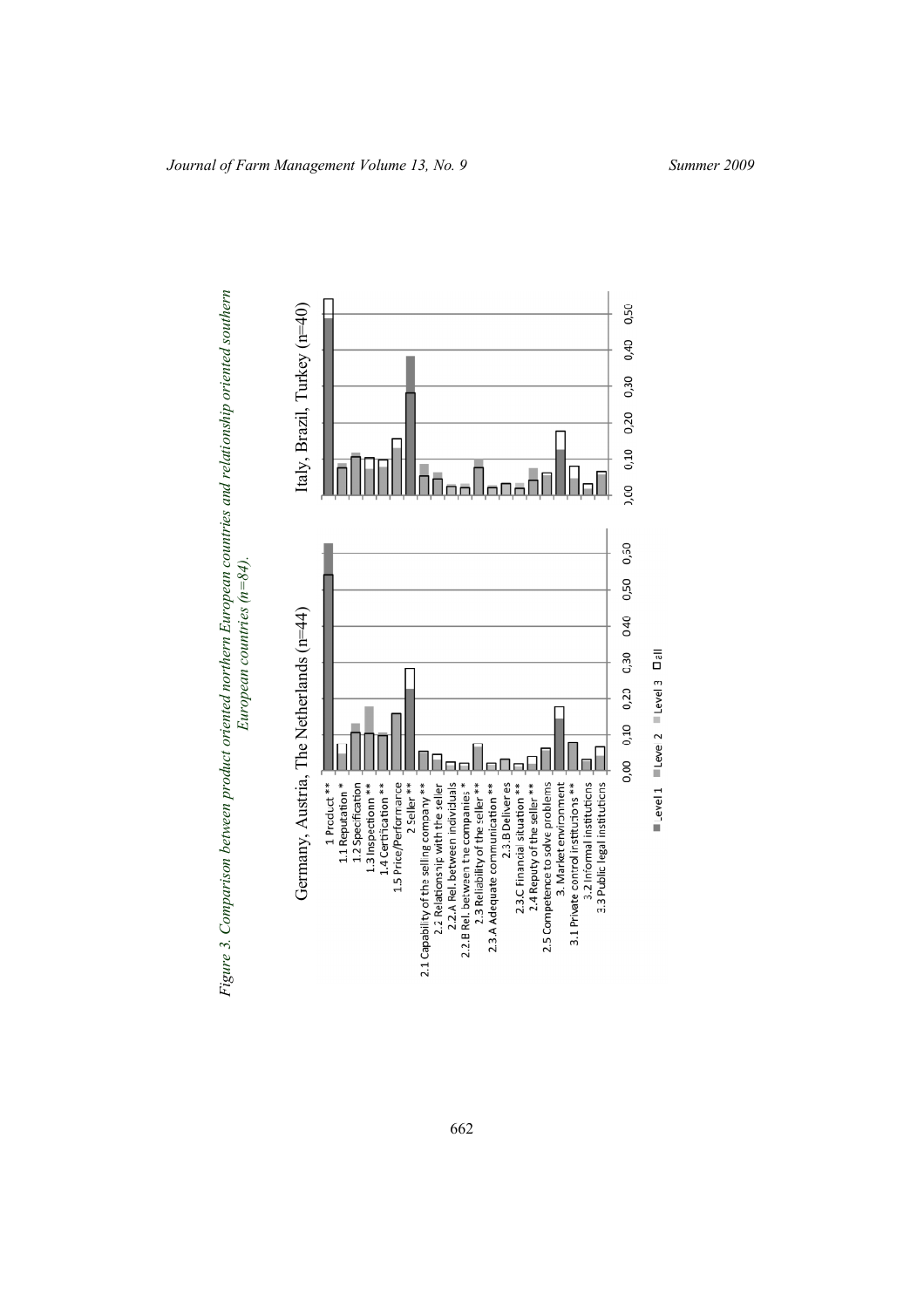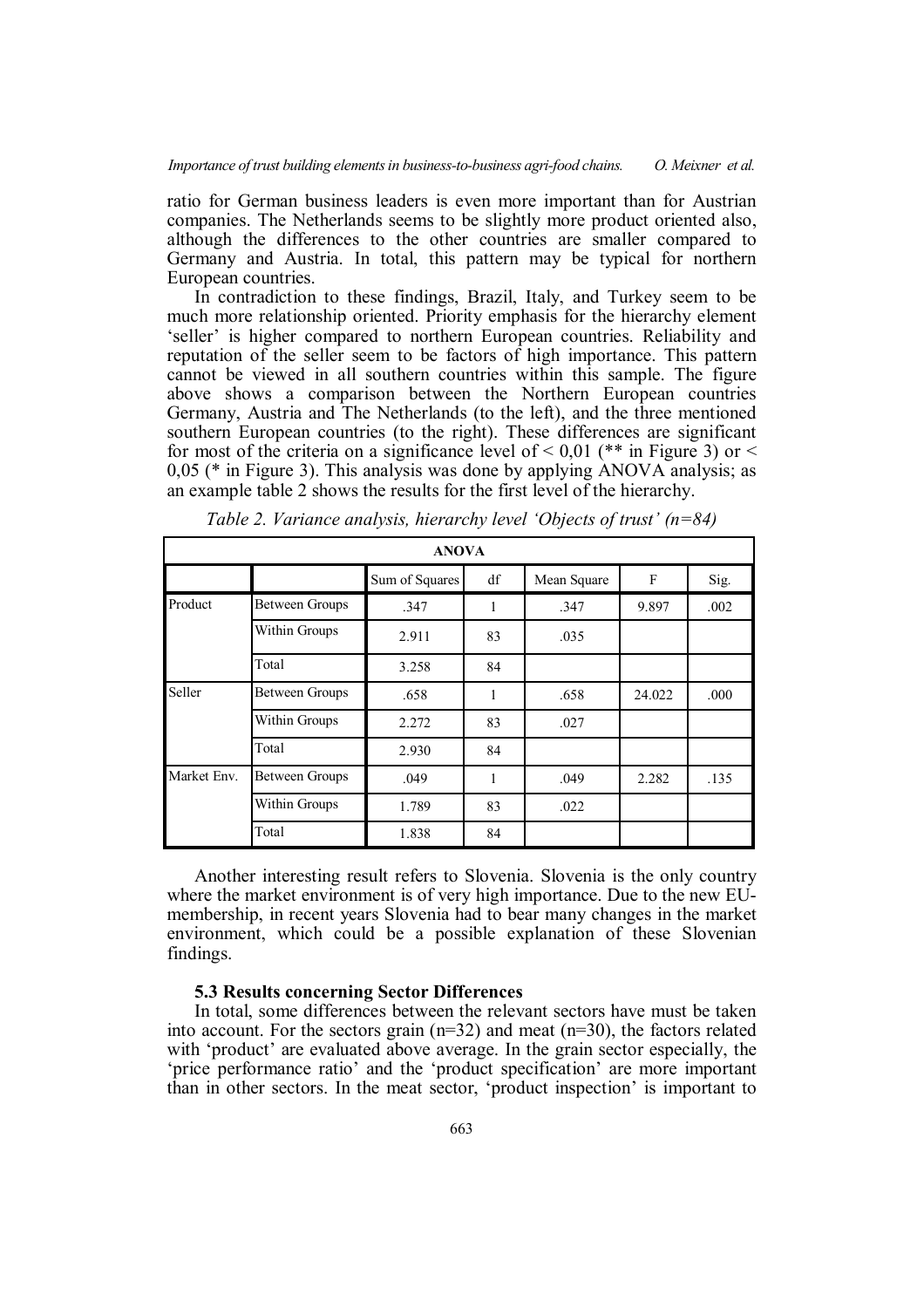ratio for German business leaders is even more important than for Austrian companies. The Netherlands seems to be slightly more product oriented also, although the differences to the other countries are smaller compared to Germany and Austria. In total, this pattern may be typical for northern European countries.

In contradiction to these findings, Brazil, Italy, and Turkey seem to be much more relationship oriented. Priority emphasis for the hierarchy element 'seller' is higher compared to northern European countries. Reliability and reputation of the seller seem to be factors of high importance. This pattern cannot be viewed in all southern countries within this sample. The figure above shows a comparison between the Northern European countries Germany, Austria and The Netherlands (to the left), and the three mentioned southern European countries (to the right). These differences are significant for most of the criteria on a significance level of  $\leq 0.01$  (\*\* in Figure 3) or  $\leq$ 0,05 (\* in Figure 3). This analysis was done by applying ANOVA analysis; as an example table 2 shows the results for the first level of the hierarchy.

| <b>ANOVA</b> |                       |                |    |             |        |      |  |  |  |  |
|--------------|-----------------------|----------------|----|-------------|--------|------|--|--|--|--|
|              |                       | Sum of Squares | df | Mean Square | F      | Sig. |  |  |  |  |
| Product      | Between Groups        | .347           | 1  | .347        | 9.897  | .002 |  |  |  |  |
|              | Within Groups         | 2.911          | 83 | .035        |        |      |  |  |  |  |
|              | Total                 | 3.258          | 84 |             |        |      |  |  |  |  |
| Seller       | <b>Between Groups</b> | .658           | 1  | .658        | 24.022 | .000 |  |  |  |  |
|              | Within Groups         | 2.272          | 83 | .027        |        |      |  |  |  |  |
|              | Total                 | 2.930          | 84 |             |        |      |  |  |  |  |
| Market Env.  | <b>Between Groups</b> | .049           | 1  | .049        | 2.282  | .135 |  |  |  |  |
|              | Within Groups         | 1.789          | 83 | .022        |        |      |  |  |  |  |
|              | Total                 | 1.838          | 84 |             |        |      |  |  |  |  |

*Table 2. Variance analysis, hierarchy level 'Objects of trust' (n=84)*

Another interesting result refers to Slovenia. Slovenia is the only country where the market environment is of very high importance. Due to the new EUmembership, in recent years Slovenia had to bear many changes in the market environment, which could be a possible explanation of these Slovenian findings.

# **5.3 Results concerning Sector Differences**

In total, some differences between the relevant sectors have must be taken into account. For the sectors grain  $(n=32)$  and meat  $(n=30)$ , the factors related with 'product' are evaluated above average. In the grain sector especially, the 'price performance ratio' and the 'product specification' are more important than in other sectors. In the meat sector, 'product inspection' is important to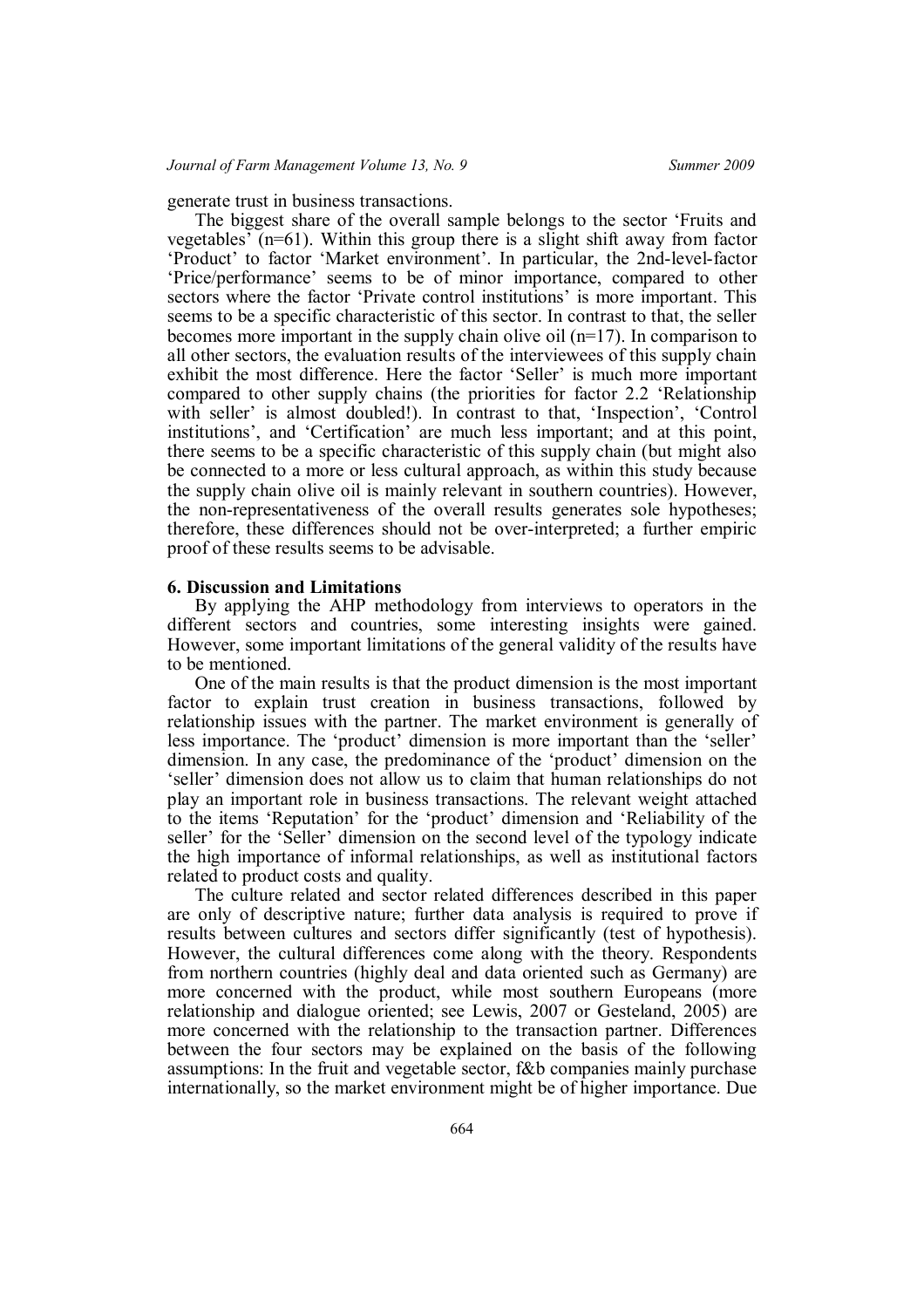generate trust in business transactions.

The biggest share of the overall sample belongs to the sector 'Fruits and vegetables' (n=61). Within this group there is a slight shift away from factor 'Product' to factor 'Market environment'. In particular, the 2nd-level-factor 'Price/performance' seems to be of minor importance, compared to other sectors where the factor 'Private control institutions' is more important. This seems to be a specific characteristic of this sector. In contrast to that, the seller becomes more important in the supply chain olive oil (n=17). In comparison to all other sectors, the evaluation results of the interviewees of this supply chain exhibit the most difference. Here the factor 'Seller' is much more important compared to other supply chains (the priorities for factor 2.2 'Relationship with seller' is almost doubled!). In contrast to that, 'Inspection', 'Control institutions', and 'Certification' are much less important; and at this point, there seems to be a specific characteristic of this supply chain (but might also be connected to a more or less cultural approach, as within this study because the supply chain olive oil is mainly relevant in southern countries). However, the non-representativeness of the overall results generates sole hypotheses; therefore, these differences should not be over-interpreted; a further empiric proof of these results seems to be advisable.

#### **6. Discussion and Limitations**

By applying the AHP methodology from interviews to operators in the different sectors and countries, some interesting insights were gained. However, some important limitations of the general validity of the results have to be mentioned.

One of the main results is that the product dimension is the most important factor to explain trust creation in business transactions, followed by relationship issues with the partner. The market environment is generally of less importance. The 'product' dimension is more important than the 'seller' dimension. In any case, the predominance of the 'product' dimension on the 'seller' dimension does not allow us to claim that human relationships do not play an important role in business transactions. The relevant weight attached to the items 'Reputation' for the 'product' dimension and 'Reliability of the seller' for the 'Seller' dimension on the second level of the typology indicate the high importance of informal relationships, as well as institutional factors related to product costs and quality.

The culture related and sector related differences described in this paper are only of descriptive nature; further data analysis is required to prove if results between cultures and sectors differ significantly (test of hypothesis). However, the cultural differences come along with the theory. Respondents from northern countries (highly deal and data oriented such as Germany) are more concerned with the product, while most southern Europeans (more relationship and dialogue oriented; see Lewis, 2007 or Gesteland, 2005) are more concerned with the relationship to the transaction partner. Differences between the four sectors may be explained on the basis of the following assumptions: In the fruit and vegetable sector, f&b companies mainly purchase internationally, so the market environment might be of higher importance. Due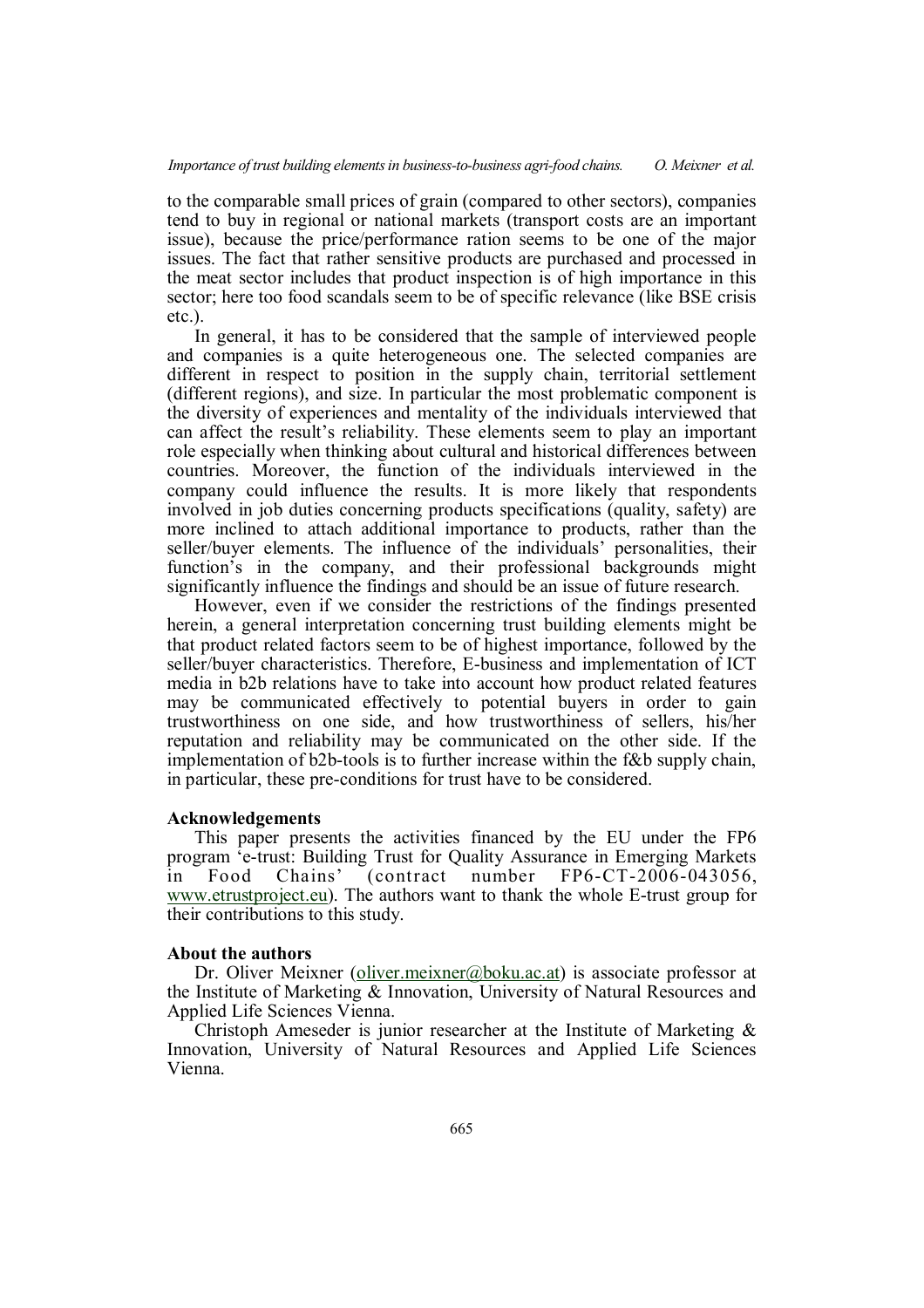to the comparable small prices of grain (compared to other sectors), companies tend to buy in regional or national markets (transport costs are an important issue), because the price/performance ration seems to be one of the major issues. The fact that rather sensitive products are purchased and processed in the meat sector includes that product inspection is of high importance in this sector; here too food scandals seem to be of specific relevance (like BSE crisis etc.).

In general, it has to be considered that the sample of interviewed people and companies is a quite heterogeneous one. The selected companies are different in respect to position in the supply chain, territorial settlement (different regions), and size. In particular the most problematic component is the diversity of experiences and mentality of the individuals interviewed that can affect the result's reliability. These elements seem to play an important role especially when thinking about cultural and historical differences between countries. Moreover, the function of the individuals interviewed in the company could influence the results. It is more likely that respondents involved in job duties concerning products specifications (quality, safety) are more inclined to attach additional importance to products, rather than the seller/buyer elements. The influence of the individuals' personalities, their function's in the company, and their professional backgrounds might significantly influence the findings and should be an issue of future research.

However, even if we consider the restrictions of the findings presented herein, a general interpretation concerning trust building elements might be that product related factors seem to be of highest importance, followed by the seller/buyer characteristics. Therefore, E-business and implementation of ICT media in b2b relations have to take into account how product related features may be communicated effectively to potential buyers in order to gain trustworthiness on one side, and how trustworthiness of sellers, his/her reputation and reliability may be communicated on the other side. If the implementation of b2b-tools is to further increase within the f&b supply chain, in particular, these pre-conditions for trust have to be considered.

#### **Acknowledgements**

This paper presents the activities financed by the EU under the FP6 program 'e-trust: Building Trust for Quality Assurance in Emerging Markets in Food Chains' (contract number FP6-CT-2006-043056, www.etrustproject.eu). The authors want to thank the whole E-trust group for their contributions to this study.

#### **About the authors**

Dr. Oliver Meixner (oliver.meixner@boku.ac.at) is associate professor at the Institute of Marketing & Innovation, University of Natural Resources and Applied Life Sciences Vienna.

Christoph Ameseder is junior researcher at the Institute of Marketing & Innovation, University of Natural Resources and Applied Life Sciences Vienna.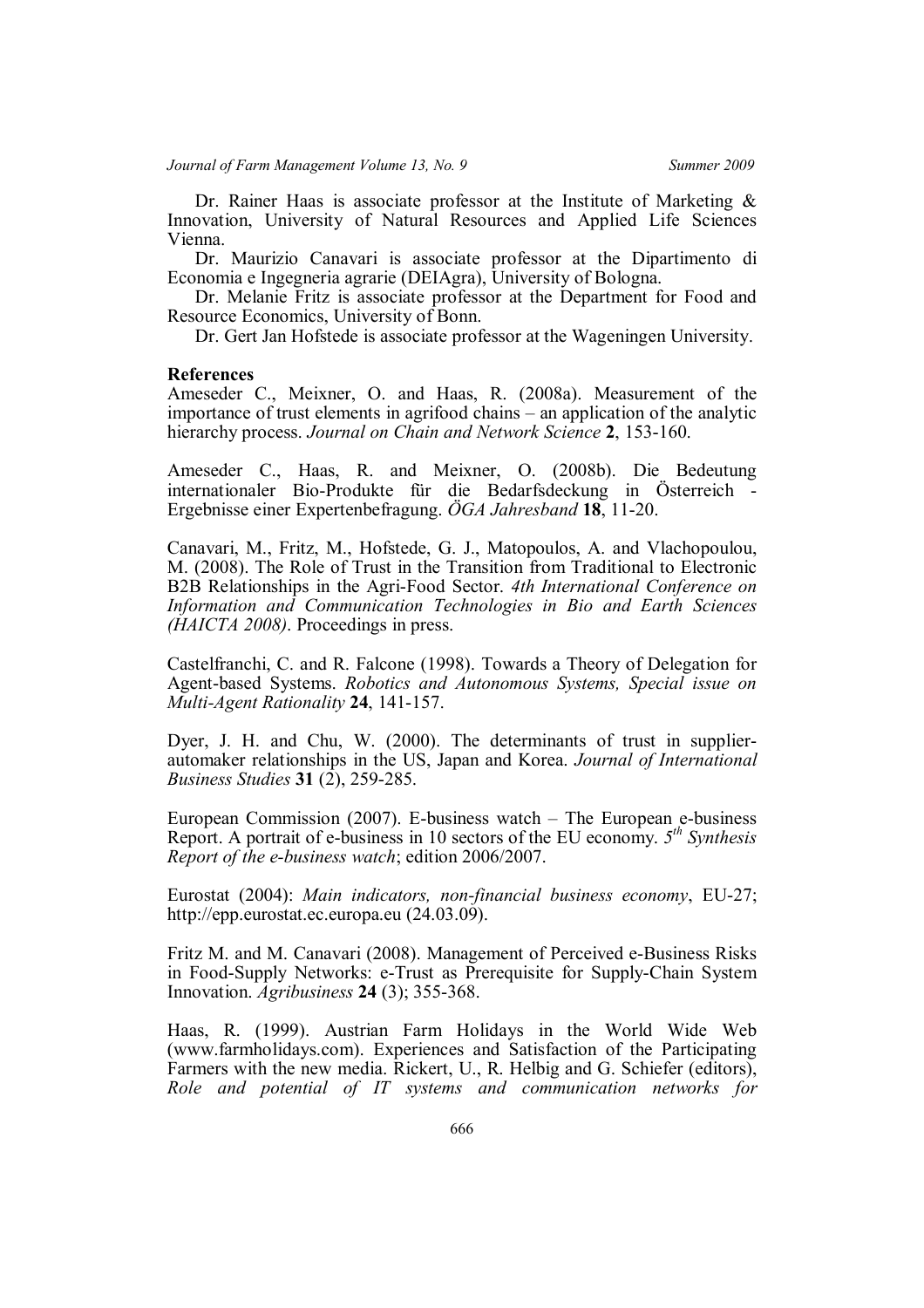Dr. Rainer Haas is associate professor at the Institute of Marketing  $\&$ Innovation, University of Natural Resources and Applied Life Sciences Vienna.

Dr. Maurizio Canavari is associate professor at the Dipartimento di Economia e Ingegneria agrarie (DEIAgra), University of Bologna.

Dr. Melanie Fritz is associate professor at the Department for Food and Resource Economics, University of Bonn.

Dr. Gert Jan Hofstede is associate professor at the Wageningen University.

### **References**

Ameseder C., Meixner, O. and Haas, R. (2008a). Measurement of the importance of trust elements in agrifood chains – an application of the analytic hierarchy process. *Journal on Chain and Network Science* **2**, 153-160.

Ameseder C., Haas, R. and Meixner, O. (2008b). Die Bedeutung internationaler Bio-Produkte für die Bedarfsdeckung in Österreich - Ergebnisse einer Expertenbefragung. *ÖGA Jahresband* **18**, 11-20.

Canavari, M., Fritz, M., Hofstede, G. J., Matopoulos, A. and Vlachopoulou, M. (2008). The Role of Trust in the Transition from Traditional to Electronic B2B Relationships in the Agri-Food Sector. *4th International Conference on Information and Communication Technologies in Bio and Earth Sciences (HAICTA 2008)*. Proceedings in press.

Castelfranchi, C. and R. Falcone (1998). Towards a Theory of Delegation for Agent-based Systems. *Robotics and Autonomous Systems, Special issue on Multi-Agent Rationality* **24**, 141-157.

Dyer, J. H. and Chu, W. (2000). The determinants of trust in supplierautomaker relationships in the US, Japan and Korea. *Journal of International Business Studies* **31** (2), 259-285.

European Commission (2007). E-business watch – The European e-business Report. A portrait of e-business in 10 sectors of the EU economy. *5 th Synthesis Report of the e-business watch*; edition 2006/2007.

Eurostat (2004): *Main indicators, non-financial business economy*, EU-27; http://epp.eurostat.ec.europa.eu (24.03.09).

Fritz M. and M. Canavari (2008). Management of Perceived e-Business Risks in Food-Supply Networks: e-Trust as Prerequisite for Supply-Chain System Innovation. *Agribusiness* **24** (3); 355-368.

Haas, R. (1999). Austrian Farm Holidays in the World Wide Web (www.farmholidays.com). Experiences and Satisfaction of the Participating Farmers with the new media. Rickert, U., R. Helbig and G. Schiefer (editors), *Role and potential of IT systems and communication networks for*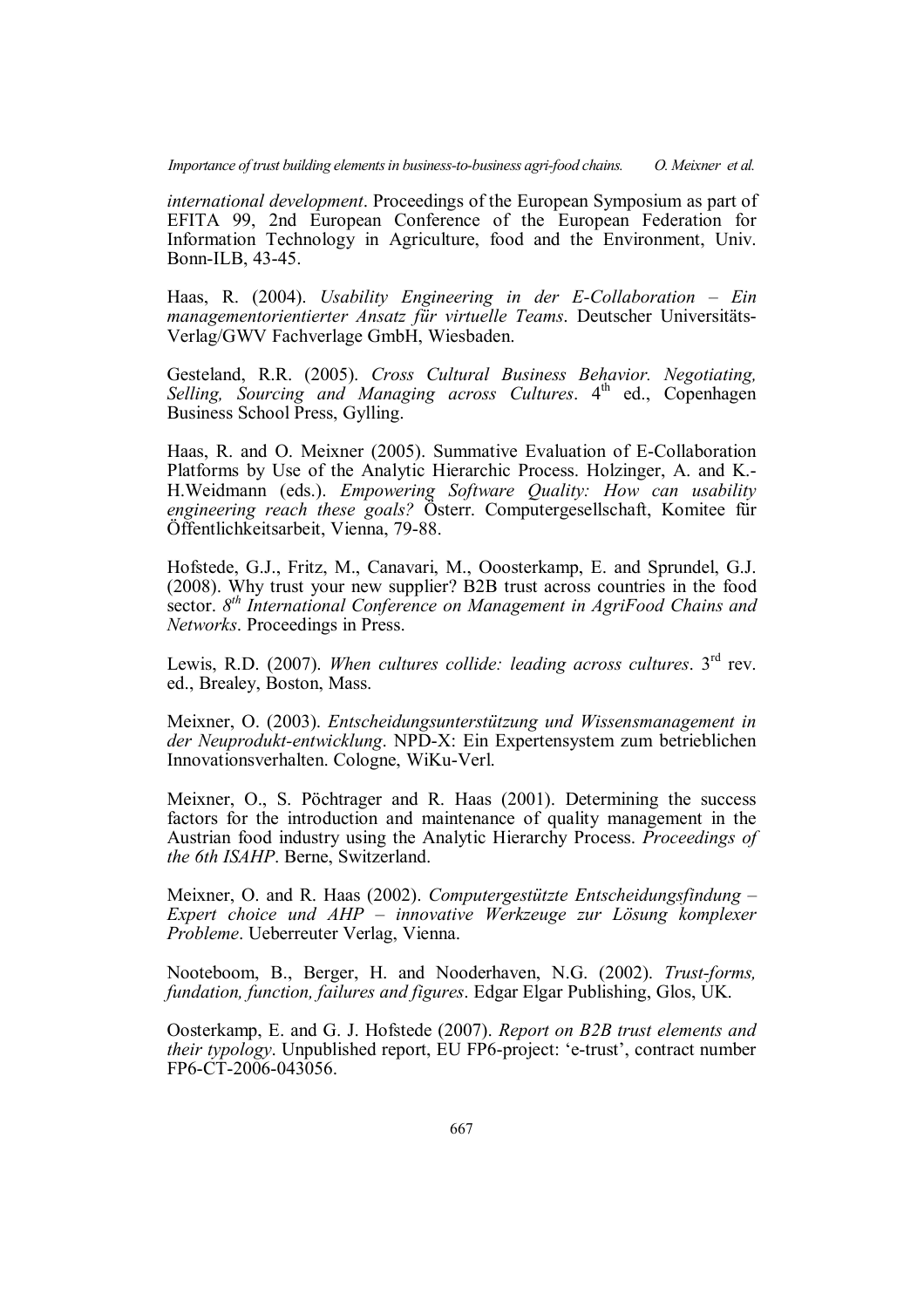*international development*. Proceedings of the European Symposium as part of EFITA 99, 2nd European Conference of the European Federation for Information Technology in Agriculture, food and the Environment, Univ. Bonn-ILB, 43-45.

Haas, R. (2004). *Usability Engineering in der E-Collaboration – Ein managementorientierter Ansatz für virtuelle Teams*. Deutscher Universitäts-Verlag/GWV Fachverlage GmbH, Wiesbaden.

Gesteland, R.R. (2005). *Cross Cultural Business Behavior. Negotiating, Selling, Sourcing and Managing across Cultures*. 4<sup>th</sup> ed., Copenhagen Business School Press, Gylling.

Haas, R. and O. Meixner (2005). Summative Evaluation of E-Collaboration Platforms by Use of the Analytic Hierarchic Process. Holzinger, A. and K.- H.Weidmann (eds.). *Empowering Software Quality: How can usability engineering reach these goals?* Österr. Computergesellschaft, Komitee für Öffentlichkeitsarbeit, Vienna, 79-88.

Hofstede, G.J., Fritz, M., Canavari, M., Ooosterkamp, E. and Sprundel, G.J. (2008). Why trust your new supplier? B2B trust across countries in the food sector. *8 th International Conference on Management in AgriFood Chains and Networks*. Proceedings in Press.

Lewis, R.D. (2007). When cultures collide: leading across cultures. 3<sup>rd</sup> rev. ed., Brealey, Boston, Mass.

Meixner, O. (2003). *Entscheidungsunterstützung und Wissensmanagement in der Neuprodukt-entwicklung*. NPD-X: Ein Expertensystem zum betrieblichen Innovationsverhalten. Cologne, WiKu-Verl.

Meixner, O., S. Pöchtrager and R. Haas (2001). Determining the success factors for the introduction and maintenance of quality management in the Austrian food industry using the Analytic Hierarchy Process. *Proceedings of the 6th ISAHP*. Berne, Switzerland.

Meixner, O. and R. Haas (2002). *Computergestützte Entscheidungsfindung – Expert choice und AHP – innovative Werkzeuge zur Lösung komplexer Probleme*. Ueberreuter Verlag, Vienna.

Nooteboom, B., Berger, H. and Nooderhaven, N.G. (2002). *Trust-forms, fundation, function, failures and figures*. Edgar Elgar Publishing, Glos, UK.

Oosterkamp, E. and G. J. Hofstede (2007). *Report on B2B trust elements and their typology*. Unpublished report, EU FP6-project: 'e-trust', contract number FP6-CT-2006-043056.